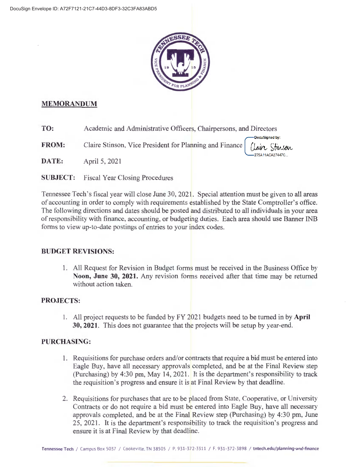

# **MEMORANDUM**

TO: Academic and Administrative Officers, Chairpersons, and Directors

**FROM:** Claire Stinson, Vice President for Planning and Finance Claire Stinson

DATE: April 5, 2021

**SUBJECT: Fiscal Year Closing Procedures** 

Tennessee Tech's fiscal year will close June 30, 2021. Special attention must be given to all areas of accounting in order to comply with requirements established by the State Comptroller's office. The following directions and dates should be posted and distributed to all individuals in your area of responsibility with finance, accounting, or budgeting duties. Each area should use Banner INB forms to view up-to-date postings of entries to your index codes.

DocuSigned by:

275A11ACA27447C

# **BUDGET REVISIONS:**

1. All Request for Revision in Budget forms must be received in the Business Office by Noon, June 30, 2021. Any revision forms received after that time may be returned without action taken.

# **PROJECTS:**

1. All project requests to be funded by FY 2021 budgets need to be turned in by April 30, 2021. This does not guarantee that the projects will be setup by year-end.

# **PURCHASING:**

- 1. Requisitions for purchase orders and/or contracts that require a bid must be entered into Eagle Buy, have all necessary approvals completed, and be at the Final Review step (Purchasing) by 4:30 pm, May 14, 2021. It is the department's responsibility to track the requisition's progress and ensure it is at Final Review by that deadline.
- 2. Requisitions for purchases that are to be placed from State, Cooperative, or University Contracts or do not require a bid must be entered into Eagle Buy, have all necessary approvals completed, and be at the Final Review step (Purchasing) by 4:30 pm, June 25, 2021. It is the department's responsibility to track the requisition's progress and ensure it is at Final Review by that deadline.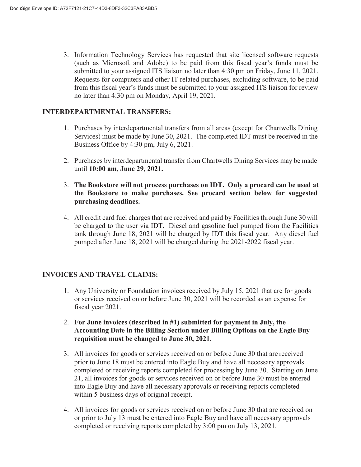3. Information Technology Services has requested that site licensed software requests (such as Microsoft and Adobe) to be paid from this fiscal year's funds must be submitted to your assigned ITS liaison no later than 4:30 pm on Friday, June 11, 2021. Requests for computers and other IT related purchases, excluding software, to be paid from this fiscal year's funds must be submitted to your assigned ITS liaison for review no later than 4:30 pm on Monday, April 19, 2021.

#### **INTERDEPARTMENTAL TRANSFERS:**

- 1. Purchases by interdepartmental transfers from all areas (except for Chartwells Dining Services) must be made by June 30, 2021. The completed IDT must be received in the Business Office by 4:30 pm, July 6, 2021.
- 2. Purchases by interdepartmental transfer from Chartwells Dining Services may be made until **10:00 am, June 29, 2021.**
- 3. **The Bookstore will not process purchases on IDT. Only a procard can be used at the Bookstore to make purchases. See procard section below for suggested purchasing deadlines.**
- 4. All credit card fuel charges that are received and paid by Facilities through June 30will be charged to the user via IDT. Diesel and gasoline fuel pumped from the Facilities tank through June 18, 2021 will be charged by IDT this fiscal year. Any diesel fuel pumped after June 18, 2021 will be charged during the 2021-2022 fiscal year.

# **INVOICES AND TRAVEL CLAIMS:**

- 1. Any University or Foundation invoices received by July 15, 2021 that are for goods or services received on or before June 30, 2021 will be recorded as an expense for fiscal year 2021.
- 2. **For June invoices (described in #1) submitted for payment in July, the Accounting Date in the Billing Section under Billing Options on the Eagle Buy requisition must be changed to June 30, 2021.**
- 3. All invoices for goods or services received on or before June 30 that are received prior to June 18 must be entered into Eagle Buy and have all necessary approvals completed or receiving reports completed for processing by June 30. Starting on June 21, all invoices for goods or services received on or before June 30 must be entered into Eagle Buy and have all necessary approvals or receiving reports completed within 5 business days of original receipt.
- 4. All invoices for goods or services received on or before June 30 that are received on or prior to July 13 must be entered into Eagle Buy and have all necessary approvals completed or receiving reports completed by 3:00 pm on July 13, 2021.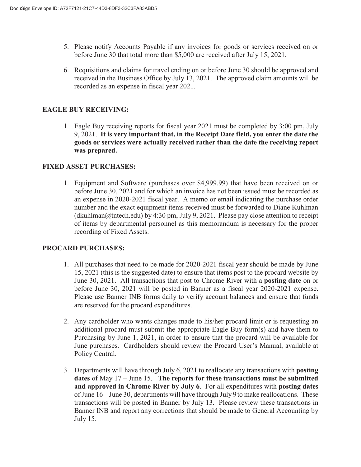- 5. Please notify Accounts Payable if any invoices for goods or services received on or before June 30 that total more than \$5,000 are received after July 15, 2021.
- 6. Requisitions and claims for travel ending on or before June 30 should be approved and received in the Business Office by July 13, 2021. The approved claim amounts will be recorded as an expense in fiscal year 2021.

### **EAGLE BUY RECEIVING:**

1. Eagle Buy receiving reports for fiscal year 2021 must be completed by 3:00 pm, July 9, 2021. **It is very important that, in the Receipt Date field, you enter the date the goods or services were actually received rather than the date the receiving report was prepared.** 

#### **FIXED ASSET PURCHASES:**

1. Equipment and Software (purchases over \$4,999.99) that have been received on or before June 30, 2021 and for which an invoice has not been issued must be recorded as an expense in 2020-2021 fiscal year. A memo or email indicating the purchase order number and the exact equipment items received must be forwarded to Diane Kuhlman  $(dkuhlman@tntech.edu)$  by 4:30 pm, July 9, 2021. Please pay close attention to receipt of items by departmental personnel as this memorandum is necessary for the proper recording of Fixed Assets.

#### **PROCARD PURCHASES:**

- 1. All purchases that need to be made for 2020-2021 fiscal year should be made by June 15, 2021 (this is the suggested date) to ensure that items post to the procard website by June 30, 2021. All transactions that post to Chrome River with a **posting date** on or before June 30, 2021 will be posted in Banner as a fiscal year 2020-2021 expense. Please use Banner INB forms daily to verify account balances and ensure that funds are reserved for the procard expenditures.
- 2. Any cardholder who wants changes made to his/her procard limit or is requesting an additional procard must submit the appropriate Eagle Buy form(s) and have them to Purchasing by June 1, 2021, in order to ensure that the procard will be available for June purchases. Cardholders should review the Procard User's Manual, available at Policy Central.
- 3. Departments will have through July 6, 2021 to reallocate any transactions with **posting dates** of May 17 – June 15. **The reports for these transactions must be submitted and approved in Chrome River by July 6**. For all expenditures with **posting dates**  of June 16 – June 30, departments will have through July 9 to make reallocations. These transactions will be posted in Banner by July 13. Please review these transactions in Banner INB and report any corrections that should be made to General Accounting by July 15.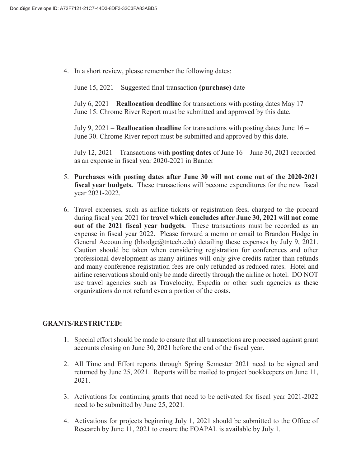4. In a short review, please remember the following dates:

June 15, 2021 – Suggested final transaction **(purchase)** date

July 6, 2021 – **Reallocation deadline** for transactions with posting dates May 17 – June 15. Chrome River Report must be submitted and approved by this date.

July 9, 2021 – **Reallocation deadline** for transactions with posting dates June 16 – June 30. Chrome River report must be submitted and approved by this date.

July 12, 2021 – Transactions with **posting dates** of June 16 – June 30, 2021 recorded as an expense in fiscal year 2020-2021 in Banner

- 5. **Purchases with posting dates after June 30 will not come out of the 2020-2021 fiscal year budgets.** These transactions will become expenditures for the new fiscal year 2021-2022.
- 6. Travel expenses, such as airline tickets or registration fees, charged to the procard during fiscal year 2021 for **travel which concludes after June 30, 2021 will not come out of the 2021 fiscal year budgets.** These transactions must be recorded as an expense in fiscal year 2022. Please forward a memo or email to Brandon Hodge in General Accounting (bhodge@tntech.edu) detailing these expenses by July 9, 2021. Caution should be taken when considering registration for conferences and other professional development as many airlines will only give credits rather than refunds and many conference registration fees are only refunded as reduced rates. Hotel and airline reservations should only be made directly through the airline or hotel. DO NOT use travel agencies such as Travelocity, Expedia or other such agencies as these organizations do not refund even a portion of the costs.

#### **GRANTS**/**RESTRICTED:**

- 1. Special effort should be made to ensure that all transactions are processed against grant accounts closing on June 30, 2021 before the end of the fiscal year.
- 2. All Time and Effort reports through Spring Semester 2021 need to be signed and returned by June 25, 2021. Reports will be mailed to project bookkeepers on June 11, 2021.
- 3. Activations for continuing grants that need to be activated for fiscal year 2021-2022 need to be submitted by June 25, 2021.
- 4. Activations for projects beginning July 1, 2021 should be submitted to the Office of Research by June 11, 2021 to ensure the FOAPAL is available by July 1.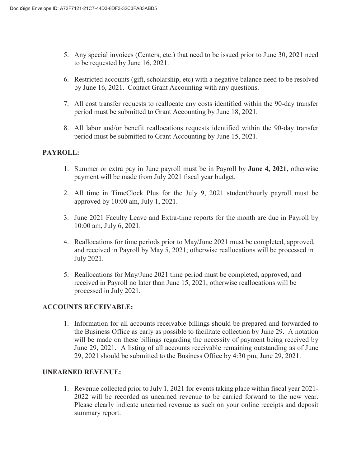- 5. Any special invoices (Centers, etc.) that need to be issued prior to June 30, 2021 need to be requested by June 16, 2021.
- 6. Restricted accounts (gift, scholarship, etc) with a negative balance need to be resolved by June 16, 2021. Contact Grant Accounting with any questions.
- 7. All cost transfer requests to reallocate any costs identified within the 90-day transfer period must be submitted to Grant Accounting by June 18, 2021.
- 8. All labor and/or benefit reallocations requests identified within the 90-day transfer period must be submitted to Grant Accounting by June 15, 2021.

# **PAYROLL:**

- 1. Summer or extra pay in June payroll must be in Payroll by **June 4, 2021**, otherwise payment will be made from July 2021 fiscal year budget.
- 2. All time in TimeClock Plus for the July 9, 2021 student/hourly payroll must be approved by 10:00 am, July 1, 2021.
- 3. June 2021 Faculty Leave and Extra-time reports for the month are due in Payroll by 10:00 am, July 6, 2021.
- 4. Reallocations for time periods prior to May/June 2021 must be completed, approved, and received in Payroll by May 5, 2021; otherwise reallocations will be processed in July 2021.
- 5. Reallocations for May/June 2021 time period must be completed, approved, and received in Payroll no later than June 15, 2021; otherwise reallocations will be processed in July 2021.

# **ACCOUNTS RECEIVABLE:**

1. Information for all accounts receivable billings should be prepared and forwarded to the Business Office as early as possible to facilitate collection by June 29. A notation will be made on these billings regarding the necessity of payment being received by June 29, 2021. A listing of all accounts receivable remaining outstanding as of June 29, 2021 should be submitted to the Business Office by 4:30 pm, June 29, 2021.

#### **UNEARNED REVENUE:**

1. Revenue collected prior to July 1, 2021 for events taking place within fiscal year 2021- 2022 will be recorded as unearned revenue to be carried forward to the new year. Please clearly indicate unearned revenue as such on your online receipts and deposit summary report.